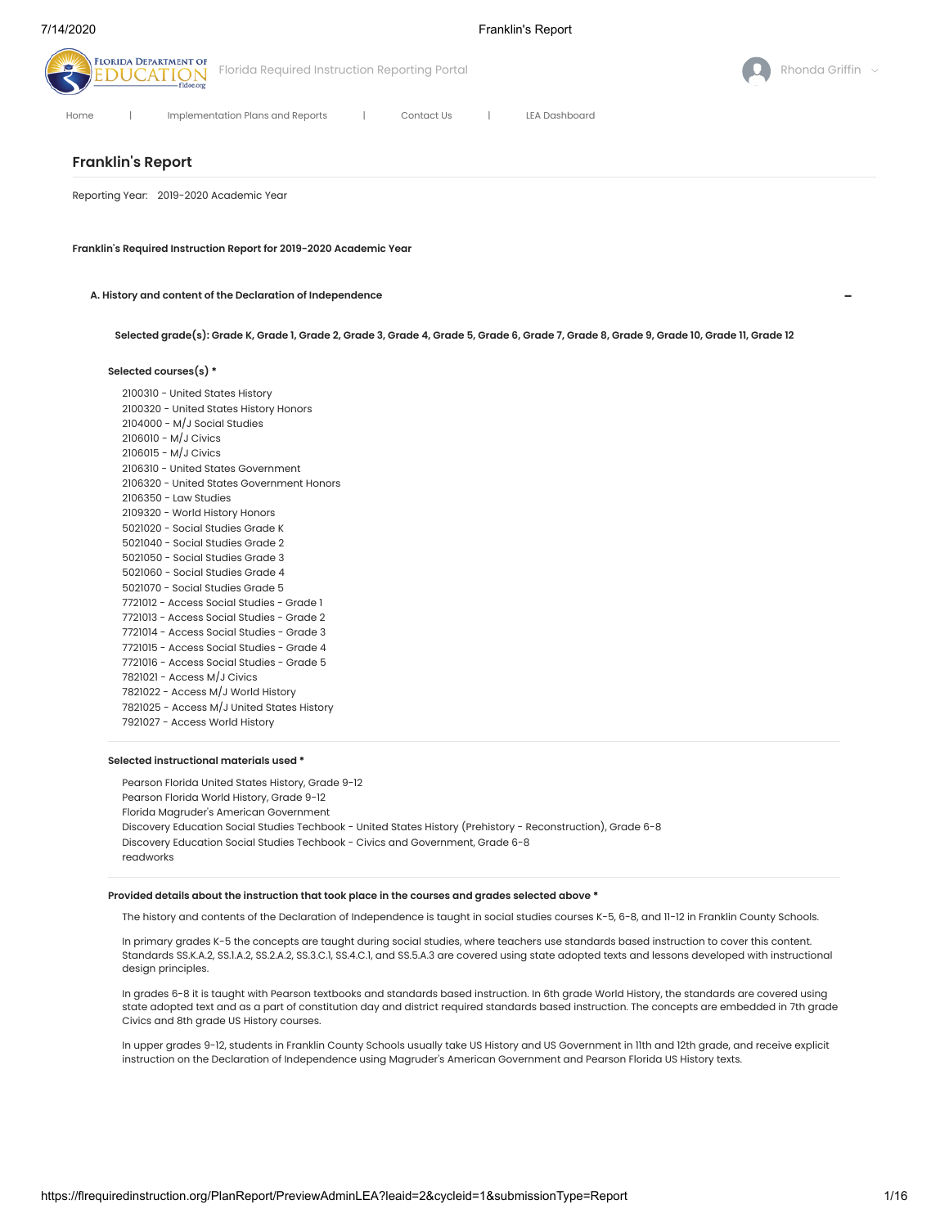

# **Franklin's Report**

Reporting Year: 2019-2020 Academic Year

**Franklin's Required Instruction Report for 2019-2020 Academic Year**

**A. History and content of the Declaration of Independence**

Selected grade(s): Grade K, Grade 1, Grade 2, Grade 3, Grade 4, Grade 5, Grade 6, Grade 7, Grade 8, Grade 9, Grade 10, Grade 11, Grade 12

# **Selected courses(s) \***

 - United States History - United States History Honors - M/J Social Studies - M/J Civics - M/J Civics - United States Government - United States Government Honors - Law Studies - World History Honors - Social Studies Grade K - Social Studies Grade 2 - Social Studies Grade 3 - Social Studies Grade 4 - Social Studies Grade 5 - Access Social Studies - Grade 1 - Access Social Studies - Grade 2 - Access Social Studies - Grade 3 - Access Social Studies - Grade 4 - Access Social Studies - Grade 5 - Access M/J Civics - Access M/J World History - Access M/J United States History - Access World History

# **Selected instructional materials used \***

Pearson Florida United States History, Grade 9-12 Pearson Florida World History, Grade 9-12 Florida Magruder's American Government Discovery Education Social Studies Techbook - United States History (Prehistory - Reconstruction), Grade 6-8 Discovery Education Social Studies Techbook - Civics and Government, Grade 6-8 readworks

#### **Provided details about the instruction that took place in the courses and grades selected above \***

The history and contents of the Declaration of Independence is taught in social studies courses K-5, 6-8, and 11-12 in Franklin County Schools.

In primary grades K-5 the concepts are taught during social studies, where teachers use standards based instruction to cover this content. Standards SS.K.A.2, SS.1.A.2, SS.2.A.2, SS.3.C.1, SS.4.C.1, and SS.5.A.3 are covered using state adopted texts and lessons developed with instructional design principles.

In grades 6-8 it is taught with Pearson textbooks and standards based instruction. In 6th grade World History, the standards are covered using state adopted text and as a part of constitution day and district required standards based instruction. The concepts are embedded in 7th grade Civics and 8th grade US History courses.

In upper grades 9-12, students in Franklin County Schools usually take US History and US Government in 11th and 12th grade, and receive explicit instruction on the Declaration of Independence using Magruder's American Government and Pearson Florida US History texts.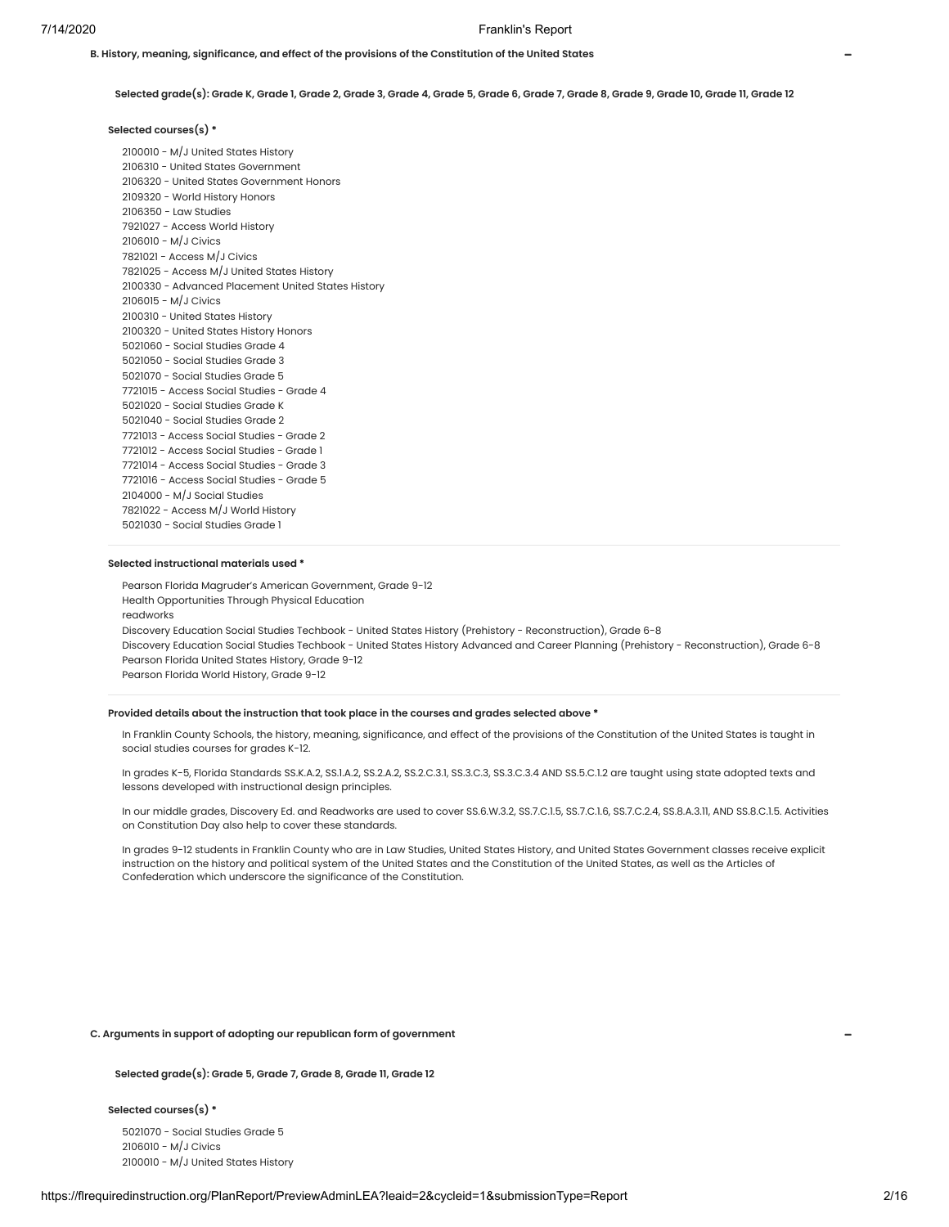Selected grade(s): Grade K, Grade 1, Grade 2, Grade 3, Grade 4, Grade 5, Grade 6, Grade 7, Grade 8, Grade 9, Grade 10, Grade 11, Grade 12

**B. History, meaning, significance, and effect of the provisions of the Constitution of the United States**

# **Selected courses(s) \***

 - M/J United States History - United States Government - United States Government Honors - World History Honors - Law Studies - Access World History - M/J Civics - Access M/J Civics - Access M/J United States History - Advanced Placement United States History - M/J Civics - United States History - United States History Honors - Social Studies Grade 4 - Social Studies Grade 3 - Social Studies Grade 5 - Access Social Studies - Grade 4 - Social Studies Grade K - Social Studies Grade 2 - Access Social Studies - Grade 2 - Access Social Studies - Grade 1 - Access Social Studies - Grade 3 - Access Social Studies - Grade 5 - M/J Social Studies - Access M/J World History - Social Studies Grade 1

#### **Selected instructional materials used \***

Pearson Florida Magruder's American Government, Grade 9-12 Health Opportunities Through Physical Education readworks Discovery Education Social Studies Techbook - United States History (Prehistory - Reconstruction), Grade 6-8 Discovery Education Social Studies Techbook - United States History Advanced and Career Planning (Prehistory - Reconstruction), Grade 6-8 Pearson Florida United States History, Grade 9-12 Pearson Florida World History, Grade 9-12

#### **Provided details about the instruction that took place in the courses and grades selected above \***

In Franklin County Schools, the history, meaning, significance, and effect of the provisions of the Constitution of the United States is taught in social studies courses for grades K-12.

In grades K-5, Florida Standards SS.K.A.2, SS.1.A.2, SS.2.A.2, SS.2.C.3.1, SS.3.C.3, SS.3.C.3.4 AND SS.5.C.1.2 are taught using state adopted texts and lessons developed with instructional design principles.

In our middle grades, Discovery Ed. and Readworks are used to cover SS.6.W.3.2, SS.7.C.1.5, SS.7.C.1.6, SS.7.C.2.4, SS.8.A.3.11, AND SS.8.C.1.5. Activities on Constitution Day also help to cover these standards.

In grades 9-12 students in Franklin County who are in Law Studies, United States History, and United States Government classes receive explicit instruction on the history and political system of the United States and the Constitution of the United States, as well as the Articles of Confederation which underscore the significance of the Constitution.

# **C. Arguments in support of adopting our republican form of government**

**Selected grade(s): Grade 5, Grade 7, Grade 8, Grade 11, Grade 12**

# **Selected courses(s) \***

5021070 - Social Studies Grade 5 2106010 - M/J Civics 2100010 - M/J United States History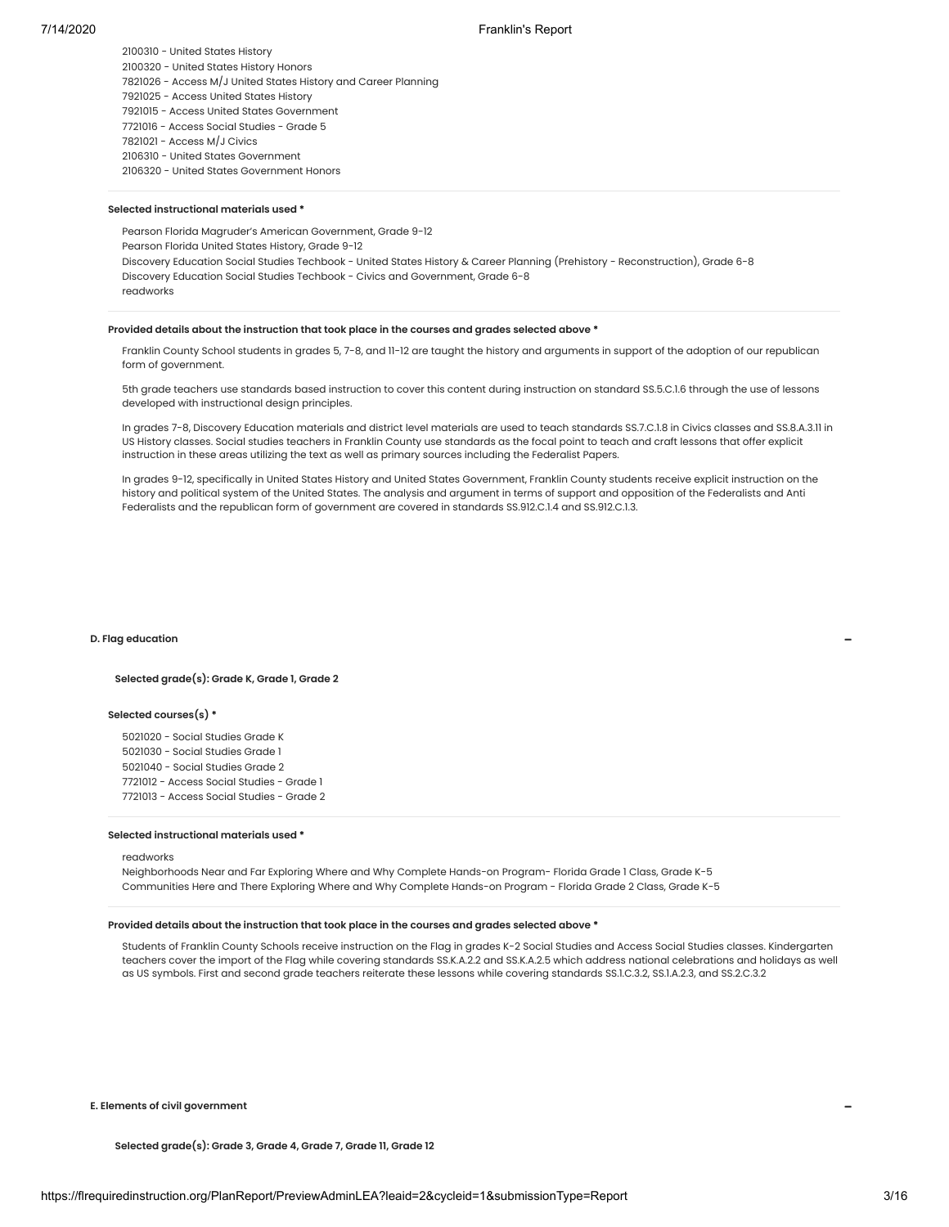2100310 - United States History

2100320 - United States History Honors

7821026 - Access M/J United States History and Career Planning

7921025 - Access United States History

7921015 - Access United States Government

7721016 - Access Social Studies - Grade 5 7821021 - Access M/J Civics

2106310 - United States Government

2106320 - United States Government Honors

# **Selected instructional materials used \***

Pearson Florida Magruder's American Government, Grade 9-12 Pearson Florida United States History, Grade 9-12 Discovery Education Social Studies Techbook - United States History & Career Planning (Prehistory - Reconstruction), Grade 6-8 Discovery Education Social Studies Techbook - Civics and Government, Grade 6-8 readworks

# **Provided details about the instruction that took place in the courses and grades selected above \***

Franklin County School students in grades 5, 7-8, and 11-12 are taught the history and arguments in support of the adoption of our republican form of government.

5th grade teachers use standards based instruction to cover this content during instruction on standard SS.5.C.1.6 through the use of lessons developed with instructional design principles.

In grades 7-8, Discovery Education materials and district level materials are used to teach standards SS.7.C.1.8 in Civics classes and SS.8.A.3.11 in US History classes. Social studies teachers in Franklin County use standards as the focal point to teach and craft lessons that offer explicit instruction in these areas utilizing the text as well as primary sources including the Federalist Papers.

In grades 9-12, specifically in United States History and United States Government, Franklin County students receive explicit instruction on the history and political system of the United States. The analysis and argument in terms of support and opposition of the Federalists and Anti Federalists and the republican form of government are covered in standards SS.912.C.1.4 and SS.912.C.1.3.

#### **D. Flag education**

#### **Selected grade(s): Grade K, Grade 1, Grade 2**

### **Selected courses(s) \***

 - Social Studies Grade K - Social Studies Grade 1 - Social Studies Grade 2 - Access Social Studies - Grade 1 - Access Social Studies - Grade 2

# **Selected instructional materials used \***

# readworks

Neighborhoods Near and Far Exploring Where and Why Complete Hands-on Program- Florida Grade 1 Class, Grade K-5 Communities Here and There Exploring Where and Why Complete Hands-on Program - Florida Grade 2 Class, Grade K-5

# **Provided details about the instruction that took place in the courses and grades selected above \***

Students of Franklin County Schools receive instruction on the Flag in grades K-2 Social Studies and Access Social Studies classes. Kindergarten teachers cover the import of the Flag while covering standards SS.K.A.2.2 and SS.K.A.2.5 which address national celebrations and holidays as well as US symbols. First and second grade teachers reiterate these lessons while covering standards SS.1.C.3.2, SS.1.A.2.3, and SS.2.C.3.2

**E. Elements of civil government**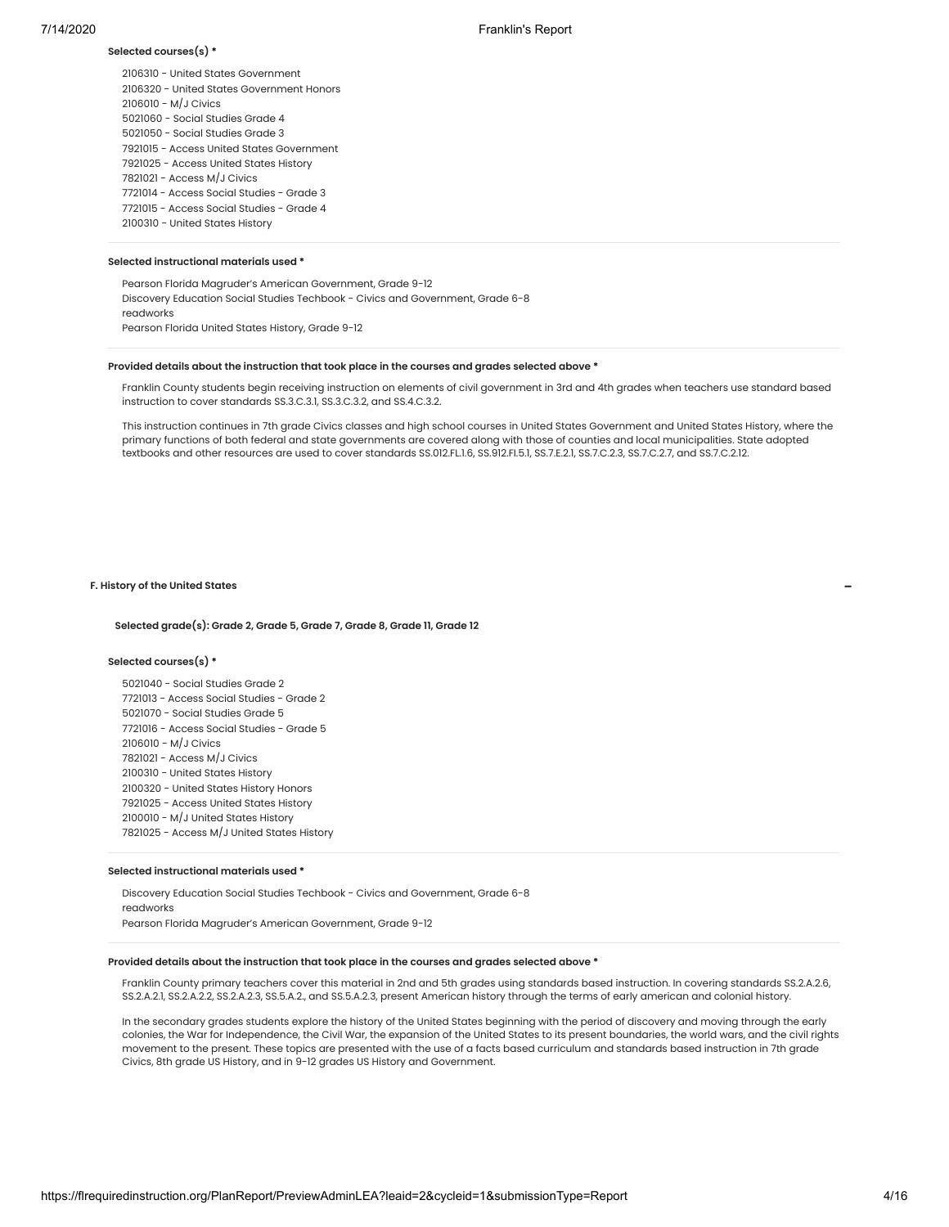# **Selected courses(s) \***

 - United States Government - United States Government Honors - M/J Civics - Social Studies Grade 4 - Social Studies Grade 3 - Access United States Government - Access United States History - Access M/J Civics - Access Social Studies - Grade 3 - Access Social Studies - Grade 4 - United States History

# **Selected instructional materials used \***

Pearson Florida Magruder's American Government, Grade 9-12 Discovery Education Social Studies Techbook - Civics and Government, Grade 6-8 readworks Pearson Florida United States History, Grade 9-12

#### **Provided details about the instruction that took place in the courses and grades selected above \***

Franklin County students begin receiving instruction on elements of civil government in 3rd and 4th grades when teachers use standard based instruction to cover standards SS.3.C.3.1, SS.3.C.3.2, and SS.4.C.3.2.

This instruction continues in 7th grade Civics classes and high school courses in United States Government and United States History, where the primary functions of both federal and state governments are covered along with those of counties and local municipalities. State adopted textbooks and other resources are used to cover standards SS.012.FL.1.6, SS.912.FI.5.1, SS.7.E.2.1, SS.7.C.2.3, SS.7.C.2.7, and SS.7.C.2.12.

# **F. History of the United States**

# **Selected grade(s): Grade 2, Grade 5, Grade 7, Grade 8, Grade 11, Grade 12**

#### **Selected courses(s) \***

 - Social Studies Grade 2 - Access Social Studies - Grade 2 - Social Studies Grade 5 - Access Social Studies - Grade 5 - M/J Civics - Access M/J Civics - United States History - United States History Honors - Access United States History - M/J United States History - Access M/J United States History

#### **Selected instructional materials used \***

Discovery Education Social Studies Techbook - Civics and Government, Grade 6-8 readworks Pearson Florida Magruder's American Government, Grade 9-12

# **Provided details about the instruction that took place in the courses and grades selected above \***

Franklin County primary teachers cover this material in 2nd and 5th grades using standards based instruction. In covering standards SS.2.A.2.6, SS.2.A.2.1, SS.2.A.2.2, SS.2.A.2.3, SS.5.A.2., and SS.5.A.2.3, present American history through the terms of early american and colonial history.

In the secondary grades students explore the history of the United States beginning with the period of discovery and moving through the early colonies, the War for Independence, the Civil War, the expansion of the United States to its present boundaries, the world wars, and the civil rights movement to the present. These topics are presented with the use of a facts based curriculum and standards based instruction in 7th grade Civics, 8th grade US History, and in 9-12 grades US History and Government.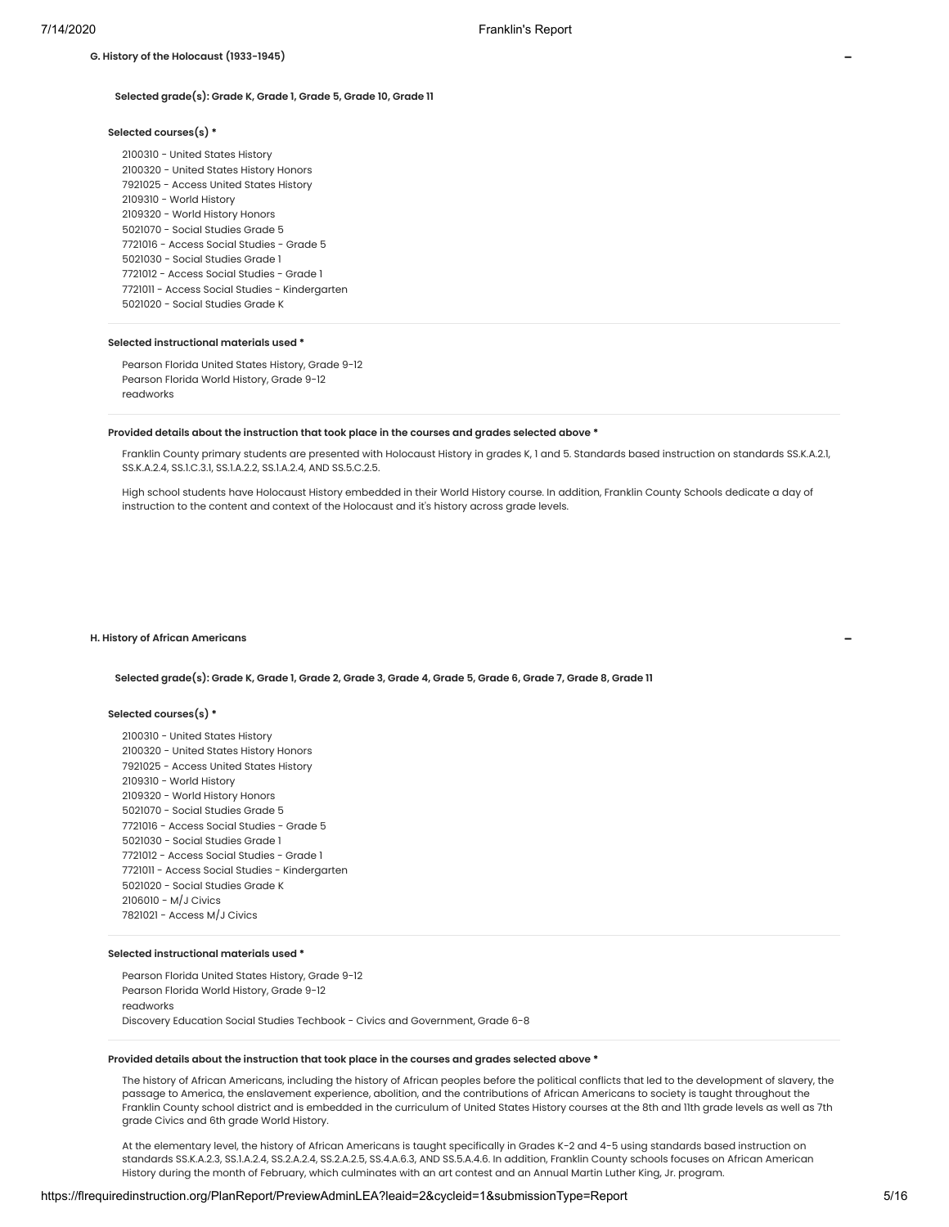# **Selected grade(s): Grade K, Grade 1, Grade 5, Grade 10, Grade 11**

#### **Selected courses(s) \***

**G. History of the Holocaust (1933-1945)**

 - United States History - United States History Honors - Access United States History - World History - World History Honors - Social Studies Grade 5 - Access Social Studies - Grade 5 - Social Studies Grade 1 - Access Social Studies - Grade 1 - Access Social Studies - Kindergarten - Social Studies Grade K

# **Selected instructional materials used \***

Pearson Florida United States History, Grade 9-12 Pearson Florida World History, Grade 9-12 readworks

#### **Provided details about the instruction that took place in the courses and grades selected above \***

Franklin County primary students are presented with Holocaust History in grades K, 1 and 5. Standards based instruction on standards SS.K.A.2.1, SS.K.A.2.4, SS.1.C.3.1, SS.1.A.2.2, SS.1.A.2.4, AND SS.5.C.2.5.

High school students have Holocaust History embedded in their World History course. In addition, Franklin County Schools dedicate a day of instruction to the content and context of the Holocaust and it's history across grade levels.

#### **H. History of African Americans**

**Selected grade(s): Grade K, Grade 1, Grade 2, Grade 3, Grade 4, Grade 5, Grade 6, Grade 7, Grade 8, Grade 11**

#### **Selected courses(s) \***

 - United States History - United States History Honors - Access United States History - World History - World History Honors - Social Studies Grade 5 - Access Social Studies - Grade 5 - Social Studies Grade 1 - Access Social Studies - Grade 1 - Access Social Studies - Kindergarten - Social Studies Grade K - M/J Civics - Access M/J Civics

# **Selected instructional materials used \***

Pearson Florida United States History, Grade 9-12 Pearson Florida World History, Grade 9-12 readworks Discovery Education Social Studies Techbook - Civics and Government, Grade 6-8

#### **Provided details about the instruction that took place in the courses and grades selected above \***

The history of African Americans, including the history of African peoples before the political conflicts that led to the development of slavery, the passage to America, the enslavement experience, abolition, and the contributions of African Americans to society is taught throughout the Franklin County school district and is embedded in the curriculum of United States History courses at the 8th and 11th grade levels as well as 7th grade Civics and 6th grade World History.

At the elementary level, the history of African Americans is taught specifically in Grades K-2 and 4-5 using standards based instruction on standards SS.K.A.2.3, SS.1.A.2.4, SS.2.A.2.4, SS.2.A.2.5, SS.4.A.6.3, AND SS.5.A.4.6. In addition, Franklin County schools focuses on African American History during the month of February, which culminates with an art contest and an Annual Martin Luther King, Jr. program.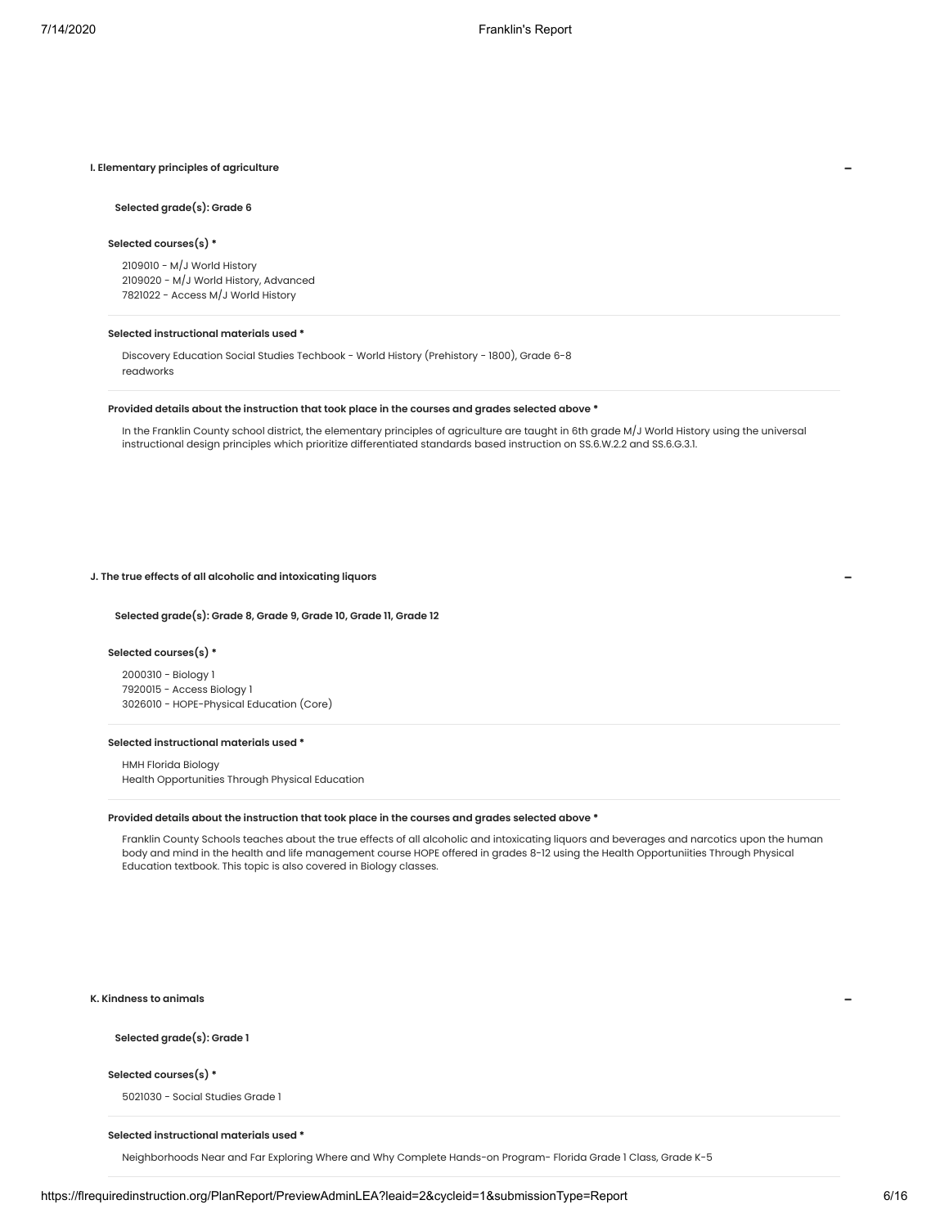## **I. Elementary principles of agriculture**

# **Selected grade(s): Grade 6**

# **Selected courses(s) \***

2109010 - M/J World History 2109020 - M/J World History, Advanced 7821022 - Access M/J World History

#### **Selected instructional materials used \***

Discovery Education Social Studies Techbook - World History (Prehistory - 1800), Grade 6-8 readworks

#### **Provided details about the instruction that took place in the courses and grades selected above \***

In the Franklin County school district, the elementary principles of agriculture are taught in 6th grade M/J World History using the universal instructional design principles which prioritize differentiated standards based instruction on SS.6.W.2.2 and SS.6.G.3.1.

# **J. The true effects of all alcoholic and intoxicating liquors**

#### **Selected grade(s): Grade 8, Grade 9, Grade 10, Grade 11, Grade 12**

# **Selected courses(s) \***

2000310 - Biology 1 7920015 - Access Biology 1 3026010 - HOPE-Physical Education (Core)

# **Selected instructional materials used \***

HMH Florida Biology Health Opportunities Through Physical Education

#### **Provided details about the instruction that took place in the courses and grades selected above \***

Franklin County Schools teaches about the true effects of all alcoholic and intoxicating liquors and beverages and narcotics upon the human body and mind in the health and life management course HOPE offered in grades 8-12 using the Health Opportuniities Through Physical Education textbook. This topic is also covered in Biology classes.

**K. Kindness to animals**

# **Selected grade(s): Grade 1**

#### **Selected courses(s) \***

5021030 - Social Studies Grade 1

# **Selected instructional materials used \***

Neighborhoods Near and Far Exploring Where and Why Complete Hands-on Program- Florida Grade 1 Class, Grade K-5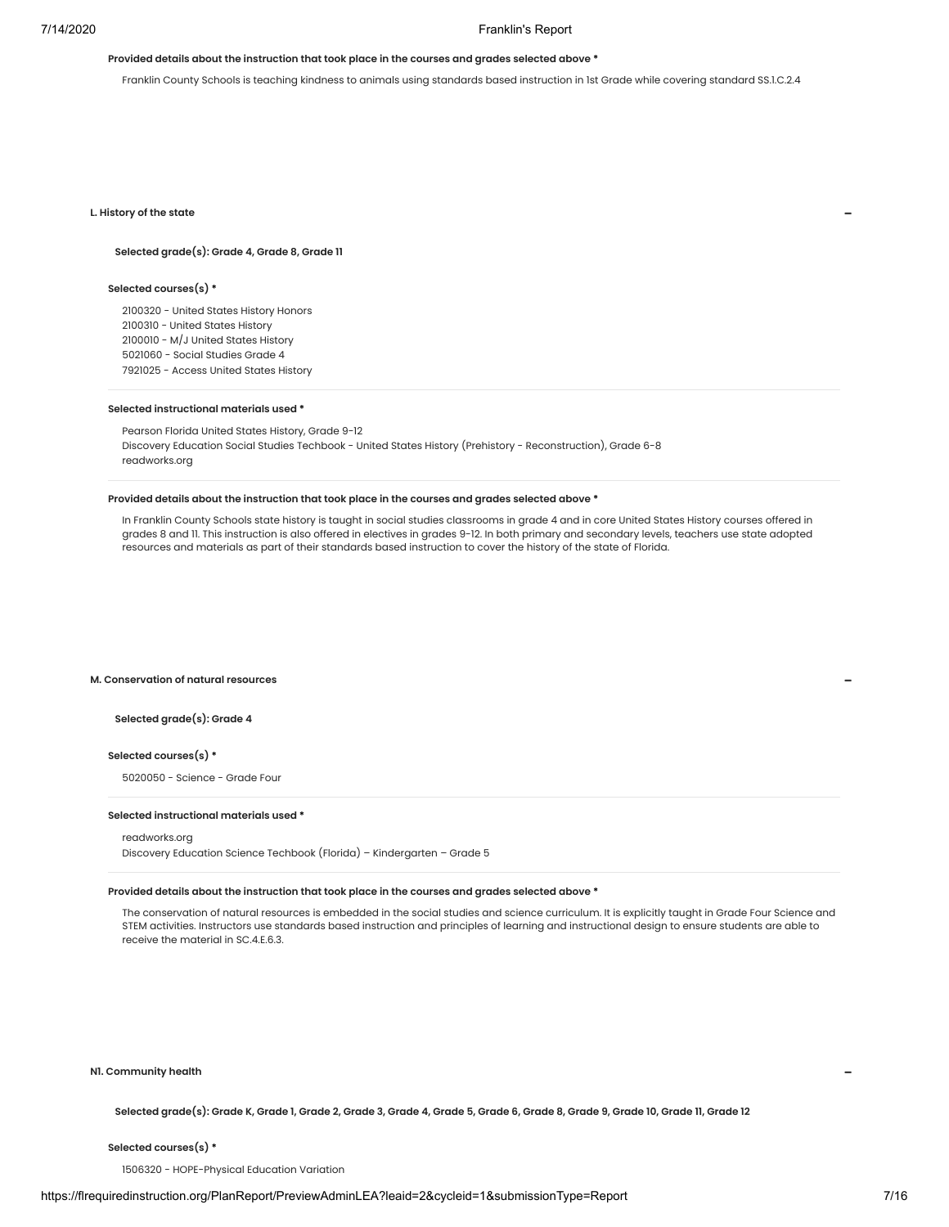# **Provided details about the instruction that took place in the courses and grades selected above \***

Franklin County Schools is teaching kindness to animals using standards based instruction in 1st Grade while covering standard SS.1.C.2.4

#### **L. History of the state**

# **Selected grade(s): Grade 4, Grade 8, Grade 11**

# **Selected courses(s) \***

 - United States History Honors - United States History - M/J United States History - Social Studies Grade 4 - Access United States History

#### **Selected instructional materials used \***

Pearson Florida United States History, Grade 9-12 Discovery Education Social Studies Techbook - United States History (Prehistory - Reconstruction), Grade 6-8 readworks.org

# **Provided details about the instruction that took place in the courses and grades selected above \***

In Franklin County Schools state history is taught in social studies classrooms in grade 4 and in core United States History courses offered in grades 8 and 11. This instruction is also offered in electives in grades 9-12. In both primary and secondary levels, teachers use state adopted resources and materials as part of their standards based instruction to cover the history of the state of Florida.

# **M. Conservation of natural resources**

# **Selected grade(s): Grade 4**

#### **Selected courses(s) \***

5020050 - Science - Grade Four

# **Selected instructional materials used \***

# readworks.org

Discovery Education Science Techbook (Florida) – Kindergarten – Grade 5

# **Provided details about the instruction that took place in the courses and grades selected above \***

The conservation of natural resources is embedded in the social studies and science curriculum. It is explicitly taught in Grade Four Science and STEM activities. Instructors use standards based instruction and principles of learning and instructional design to ensure students are able to receive the material in SC 4 E 6.3.

# **N1. Community health**

Selected grade(s): Grade K, Grade 1, Grade 2, Grade 3, Grade 4, Grade 5, Grade 6, Grade 8, Grade 9, Grade 10, Grade 11, Grade 12

# **Selected courses(s) \***

1506320 - HOPE-Physical Education Variation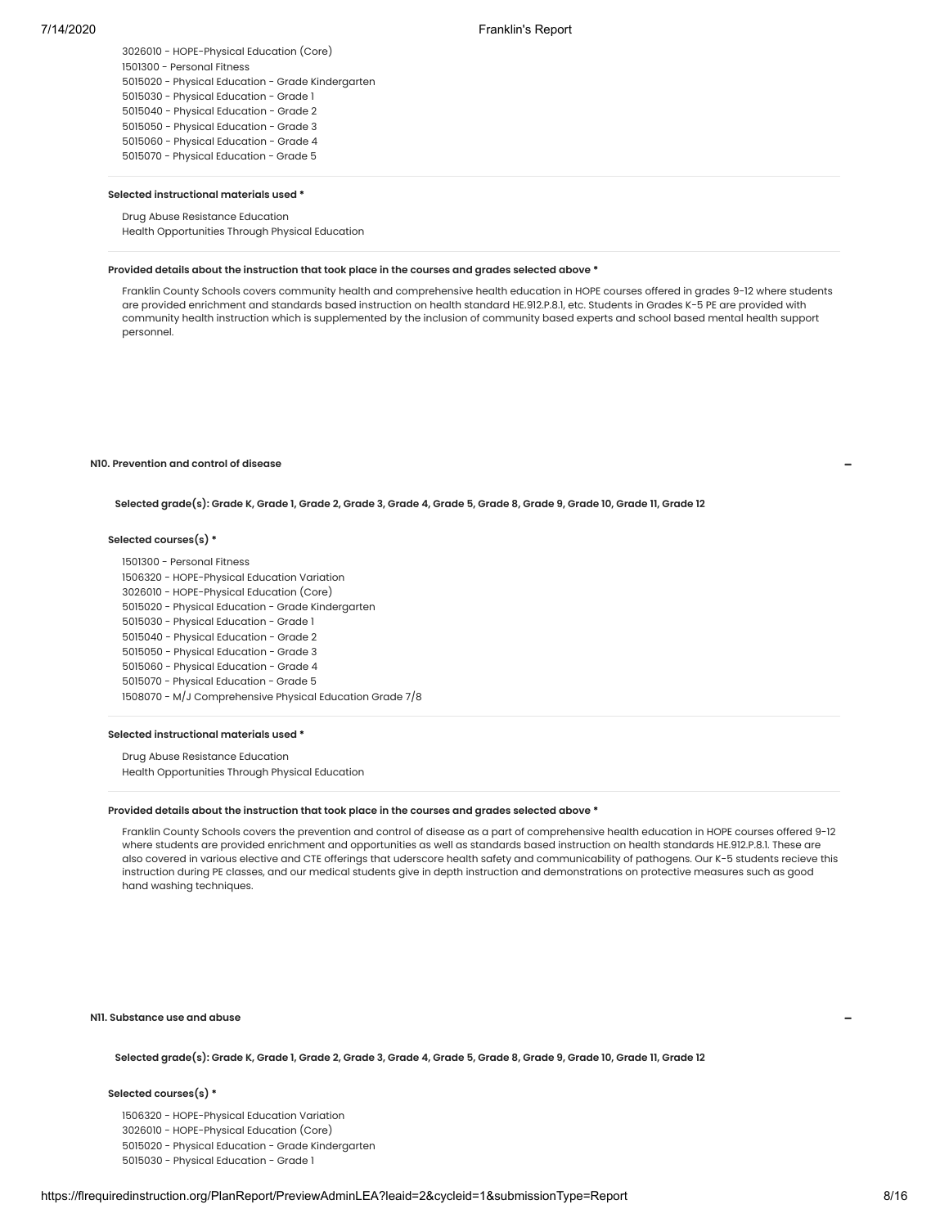- HOPE-Physical Education (Core) - Personal Fitness - Physical Education - Grade Kindergarten - Physical Education - Grade 1 - Physical Education - Grade 2 - Physical Education - Grade 3 - Physical Education - Grade 4 - Physical Education - Grade 5

#### **Selected instructional materials used \***

# Drug Abuse Resistance Education

Health Opportunities Through Physical Education

# **Provided details about the instruction that took place in the courses and grades selected above \***

Franklin County Schools covers community health and comprehensive health education in HOPE courses offered in grades 9-12 where students are provided enrichment and standards based instruction on health standard HE.912.P.8.1, etc. Students in Grades K-5 PE are provided with community health instruction which is supplemented by the inclusion of community based experts and school based mental health support personnel.

# **N10. Prevention and control of disease**

**Selected grade(s): Grade K, Grade 1, Grade 2, Grade 3, Grade 4, Grade 5, Grade 8, Grade 9, Grade 10, Grade 11, Grade 12**

## **Selected courses(s) \***

 - Personal Fitness - HOPE-Physical Education Variation - HOPE-Physical Education (Core) - Physical Education - Grade Kindergarten - Physical Education - Grade 1 - Physical Education - Grade 2 - Physical Education - Grade 3 - Physical Education - Grade 4 - Physical Education - Grade 5 - M/J Comprehensive Physical Education Grade 7/8

# **Selected instructional materials used \***

Drug Abuse Resistance Education Health Opportunities Through Physical Education

# **Provided details about the instruction that took place in the courses and grades selected above \***

Franklin County Schools covers the prevention and control of disease as a part of comprehensive health education in HOPE courses offered 9-12 where students are provided enrichment and opportunities as well as standards based instruction on health standards HE.912.P.8.1. These are also covered in various elective and CTE offerings that uderscore health safety and communicability of pathogens. Our K-5 students recieve this instruction during PE classes, and our medical students give in depth instruction and demonstrations on protective measures such as good hand washing techniques.

**N11. Substance use and abuse**

**Selected grade(s): Grade K, Grade 1, Grade 2, Grade 3, Grade 4, Grade 5, Grade 8, Grade 9, Grade 10, Grade 11, Grade 12**

### **Selected courses(s) \***

 - HOPE-Physical Education Variation - HOPE-Physical Education (Core) - Physical Education - Grade Kindergarten - Physical Education - Grade 1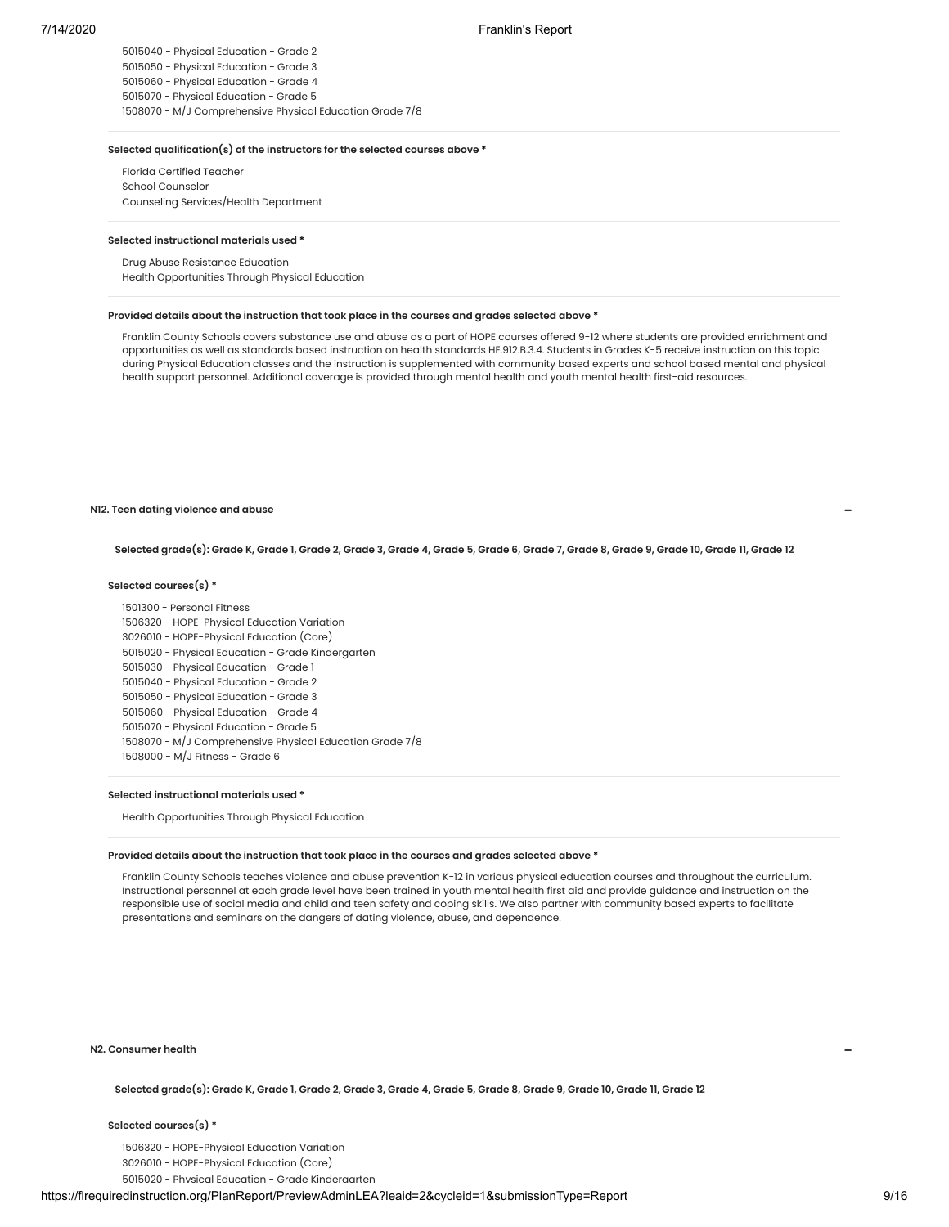- Physical Education - Grade 2 - Physical Education - Grade 3 - Physical Education - Grade 4 - Physical Education - Grade 5 - M/J Comprehensive Physical Education Grade 7/8

# **Selected qualification(s) of the instructors for the selected courses above \***

Florida Certified Teacher School Counselor Counseling Services/Health Department

#### **Selected instructional materials used \***

Drug Abuse Resistance Education Health Opportunities Through Physical Education

#### **Provided details about the instruction that took place in the courses and grades selected above \***

Franklin County Schools covers substance use and abuse as a part of HOPE courses offered 9-12 where students are provided enrichment and opportunities as well as standards based instruction on health standards HE.912.B.3.4. Students in Grades K-5 receive instruction on this topic during Physical Education classes and the instruction is supplemented with community based experts and school based mental and physical health support personnel. Additional coverage is provided through mental health and youth mental health first-aid resources.

#### **N12. Teen dating violence and abuse**

Selected grade(s): Grade K, Grade 1, Grade 2, Grade 3, Grade 4, Grade 5, Grade 6, Grade 7, Grade 8, Grade 9, Grade 10, Grade 11, Grade 12

## **Selected courses(s) \***

 - Personal Fitness - HOPE-Physical Education Variation - HOPE-Physical Education (Core) - Physical Education - Grade Kindergarten - Physical Education - Grade 1 - Physical Education - Grade 2 - Physical Education - Grade 3 - Physical Education - Grade 4 - Physical Education - Grade 5 - M/J Comprehensive Physical Education Grade 7/8 - M/J Fitness - Grade 6

# **Selected instructional materials used \***

Health Opportunities Through Physical Education

#### **Provided details about the instruction that took place in the courses and grades selected above \***

Franklin County Schools teaches violence and abuse prevention K-12 in various physical education courses and throughout the curriculum. Instructional personnel at each grade level have been trained in youth mental health first aid and provide guidance and instruction on the responsible use of social media and child and teen safety and coping skills. We also partner with community based experts to facilitate presentations and seminars on the dangers of dating violence, abuse, and dependence.

#### **N2. Consumer health**

**Selected grade(s): Grade K, Grade 1, Grade 2, Grade 3, Grade 4, Grade 5, Grade 8, Grade 9, Grade 10, Grade 11, Grade 12**

# **Selected courses(s) \***

1506320 - HOPE-Physical Education Variation 3026010 - HOPE-Physical Education (Core) 5015020 - Physical Education - Grade Kindergarten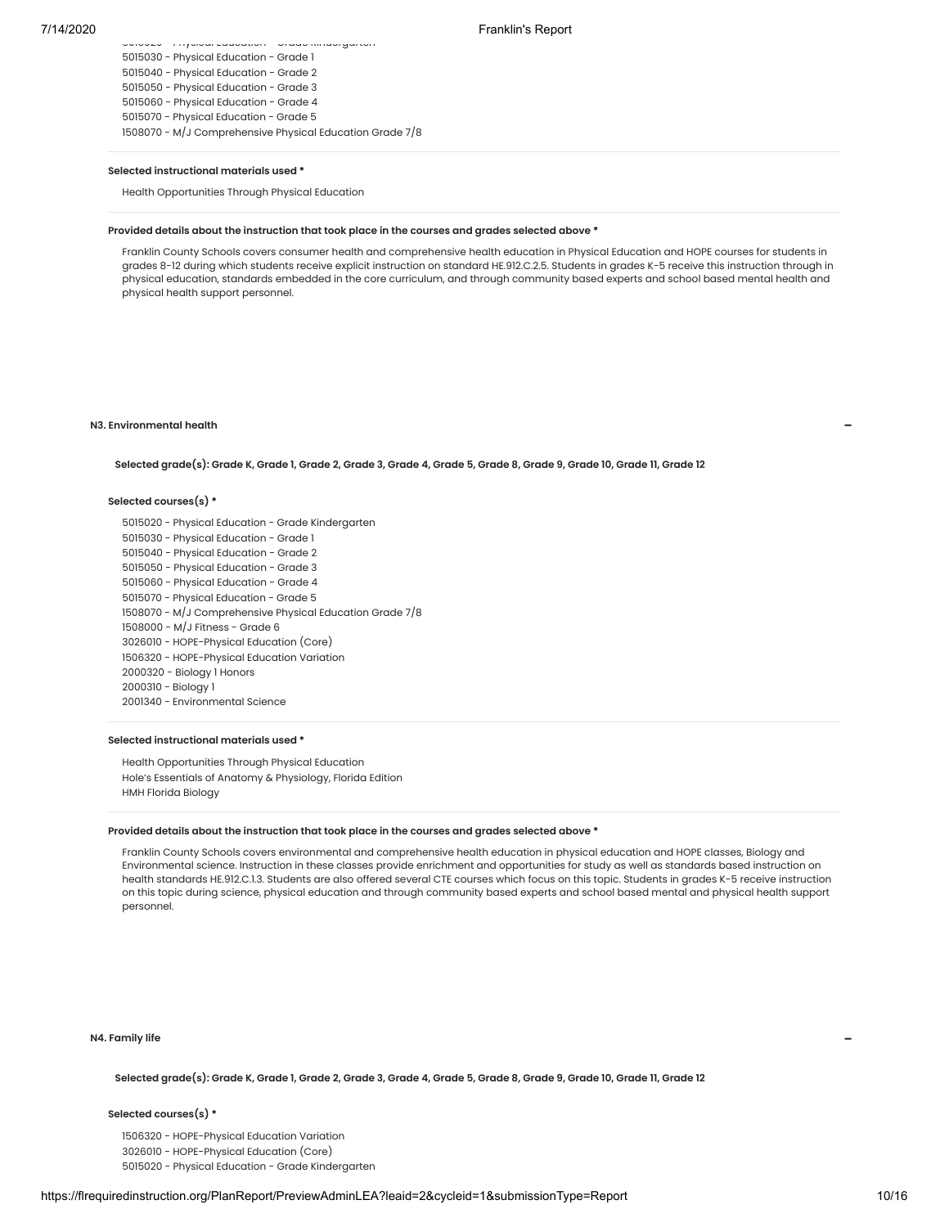| 5015030 - Physical Education - Grade 1                   |
|----------------------------------------------------------|
| 5015040 - Physical Education - Grade 2                   |
| 5015050 - Physical Education - Grade 3                   |
| 5015060 - Physical Education - Grade 4                   |
| 5015070 - Physical Education - Grade 5                   |
| 1508070 - M/J Comprehensive Physical Education Grade 7/8 |
|                                                          |

5015020 Physical Education Grade Kindergarten

#### **Selected instructional materials used \***

Health Opportunities Through Physical Education

# **Provided details about the instruction that took place in the courses and grades selected above \***

Franklin County Schools covers consumer health and comprehensive health education in Physical Education and HOPE courses for students in grades 8-12 during which students receive explicit instruction on standard HE.912.C.2.5. Students in grades K-5 receive this instruction through in physical education, standards embedded in the core curriculum, and through community based experts and school based mental health and physical health support personnel.

# **N3. Environmental health**

**Selected grade(s): Grade K, Grade 1, Grade 2, Grade 3, Grade 4, Grade 5, Grade 8, Grade 9, Grade 10, Grade 11, Grade 12**

# **Selected courses(s) \***

 - Physical Education - Grade Kindergarten - Physical Education - Grade 1 - Physical Education - Grade 2 - Physical Education - Grade 3 - Physical Education - Grade 4 - Physical Education - Grade 5 - M/J Comprehensive Physical Education Grade 7/8 - M/J Fitness - Grade 6 - HOPE-Physical Education (Core) - HOPE-Physical Education Variation - Biology 1 Honors - Biology 1 - Environmental Science

# **Selected instructional materials used \***

Health Opportunities Through Physical Education Hole's Essentials of Anatomy & Physiology, Florida Edition HMH Florida Biology

# **Provided details about the instruction that took place in the courses and grades selected above \***

Franklin County Schools covers environmental and comprehensive health education in physical education and HOPE classes, Biology and Environmental science. Instruction in these classes provide enrichment and opportunities for study as well as standards based instruction on health standards HE.912.C.1.3. Students are also offered several CTE courses which focus on this topic. Students in grades K-5 receive instruction on this topic during science, physical education and through community based experts and school based mental and physical health support personnel.

#### **N4. Family life**

**Selected grade(s): Grade K, Grade 1, Grade 2, Grade 3, Grade 4, Grade 5, Grade 8, Grade 9, Grade 10, Grade 11, Grade 12**

#### **Selected courses(s) \***

1506320 - HOPE-Physical Education Variation 3026010 - HOPE-Physical Education (Core)

5015020 - Physical Education - Grade Kindergarten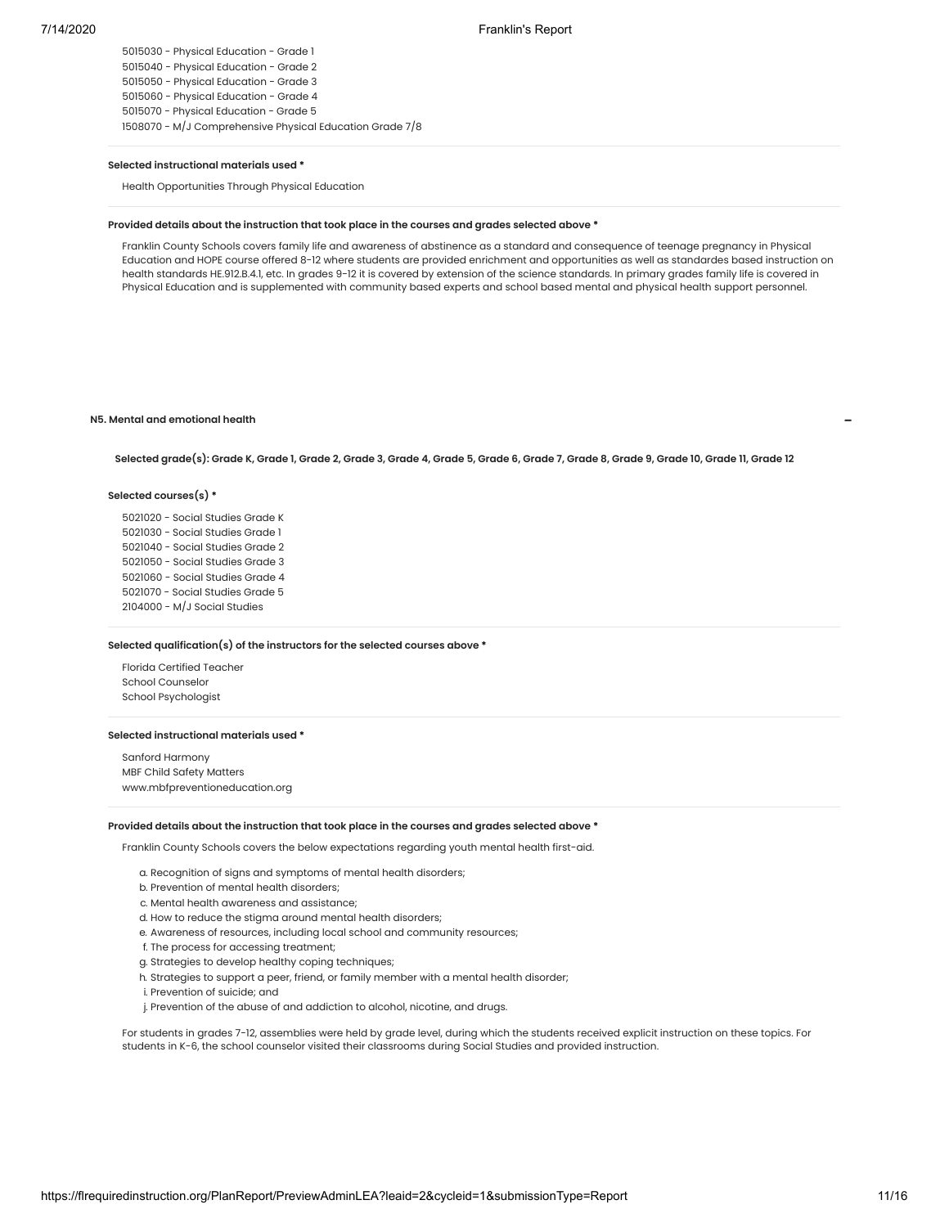- Physical Education - Grade 1 - Physical Education - Grade 2 - Physical Education - Grade 3 - Physical Education - Grade 4 - Physical Education - Grade 5 - M/J Comprehensive Physical Education Grade 7/8

#### **Selected instructional materials used \***

Health Opportunities Through Physical Education

# **Provided details about the instruction that took place in the courses and grades selected above \***

Franklin County Schools covers family life and awareness of abstinence as a standard and consequence of teenage pregnancy in Physical Education and HOPE course offered 8-12 where students are provided enrichment and opportunities as well as standardes based instruction on health standards HE.912.B.4.1, etc. In grades 9-12 it is covered by extension of the science standards. In primary grades family life is covered in Physical Education and is supplemented with community based experts and school based mental and physical health support personnel.

## **N5. Mental and emotional health**

Selected grade(s): Grade K, Grade 1, Grade 2, Grade 3, Grade 4, Grade 5, Grade 6, Grade 7, Grade 8, Grade 9, Grade 10, Grade 11, Grade 12

#### **Selected courses(s) \***

 - Social Studies Grade K - Social Studies Grade 1 - Social Studies Grade 2 - Social Studies Grade 3 - Social Studies Grade 4 - Social Studies Grade 5 - M/J Social Studies

# **Selected qualification(s) of the instructors for the selected courses above \***

Florida Certified Teacher School Counselor School Psychologist

# **Selected instructional materials used \***

Sanford Harmony MBF Child Safety Matters www.mbfpreventioneducation.org

#### **Provided details about the instruction that took place in the courses and grades selected above \***

Franklin County Schools covers the below expectations regarding youth mental health first-aid.

- a. Recognition of signs and symptoms of mental health disorders;
- b. Prevention of mental health disorders;
- c. Mental health awareness and assistance;
- d. How to reduce the stigma around mental health disorders;
- e. Awareness of resources, including local school and community resources;
- f. The process for accessing treatment;
- g. Strategies to develop healthy coping techniques;
- h. Strategies to support a peer, friend, or family member with a mental health disorder;
- i. Prevention of suicide; and
- j. Prevention of the abuse of and addiction to alcohol, nicotine, and drugs.

For students in grades 7-12, assemblies were held by grade level, during which the students received explicit instruction on these topics. For students in K-6, the school counselor visited their classrooms during Social Studies and provided instruction.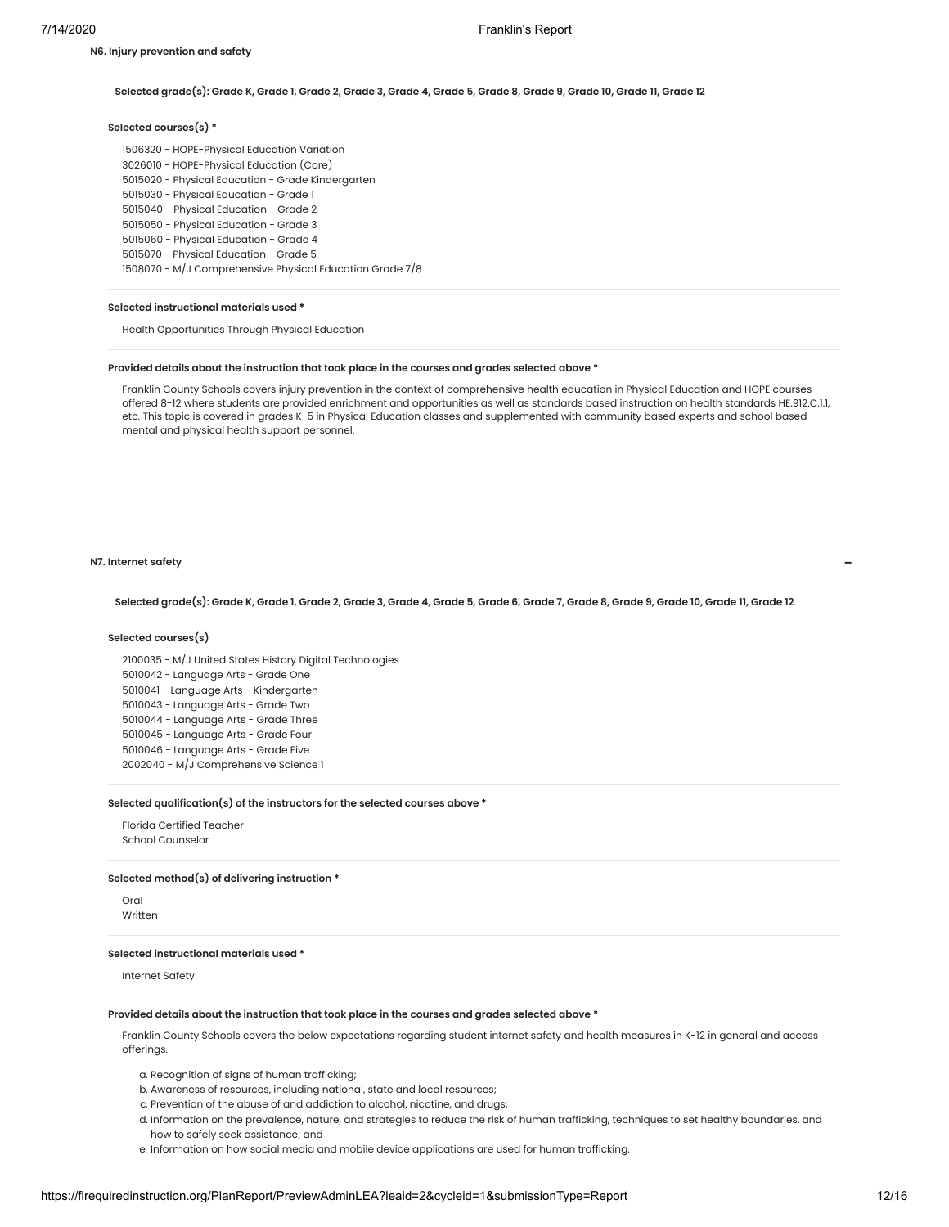# **Selected grade(s): Grade K, Grade 1, Grade 2, Grade 3, Grade 4, Grade 5, Grade 8, Grade 9, Grade 10, Grade 11, Grade 12**

# **Selected courses(s) \***

 - HOPE-Physical Education Variation - HOPE-Physical Education (Core) - Physical Education - Grade Kindergarten - Physical Education - Grade 1 - Physical Education - Grade 2 - Physical Education - Grade 3 - Physical Education - Grade 4 - Physical Education - Grade 5 - M/J Comprehensive Physical Education Grade 7/8

# **Selected instructional materials used \***

Health Opportunities Through Physical Education

#### **Provided details about the instruction that took place in the courses and grades selected above \***

Franklin County Schools covers injury prevention in the context of comprehensive health education in Physical Education and HOPE courses offered 8-12 where students are provided enrichment and opportunities as well as standards based instruction on health standards HE.912.C.1.1, etc. This topic is covered in grades K-5 in Physical Education classes and supplemented with community based experts and school based mental and physical health support personnel.

#### **N7. Internet safety**

Selected grade(s): Grade K, Grade 1, Grade 2, Grade 3, Grade 4, Grade 5, Grade 6, Grade 7, Grade 8, Grade 9, Grade 10, Grade 11, Grade 12

#### **Selected courses(s)**

 - M/J United States History Digital Technologies - Language Arts - Grade One - Language Arts - Kindergarten - Language Arts - Grade Two - Language Arts - Grade Three - Language Arts - Grade Four - Language Arts - Grade Five - M/J Comprehensive Science 1

# **Selected qualification(s) of the instructors for the selected courses above \***

Florida Certified Teacher School Counselor

# **Selected method(s) of delivering instruction \***

Oral Written

#### **Selected instructional materials used \***

Internet Safety

# **Provided details about the instruction that took place in the courses and grades selected above \***

Franklin County Schools covers the below expectations regarding student internet safety and health measures in K-12 in general and access offerings.

a. Recognition of signs of human trafficking;

- b. Awareness of resources, including national, state and local resources;
- c. Prevention of the abuse of and addiction to alcohol, nicotine, and drugs;
- d. Information on the prevalence, nature, and strategies to reduce the risk of human trafficking, techniques to set healthy boundaries, and how to safely seek assistance; and
- e. Information on how social media and mobile device applications are used for human trafficking.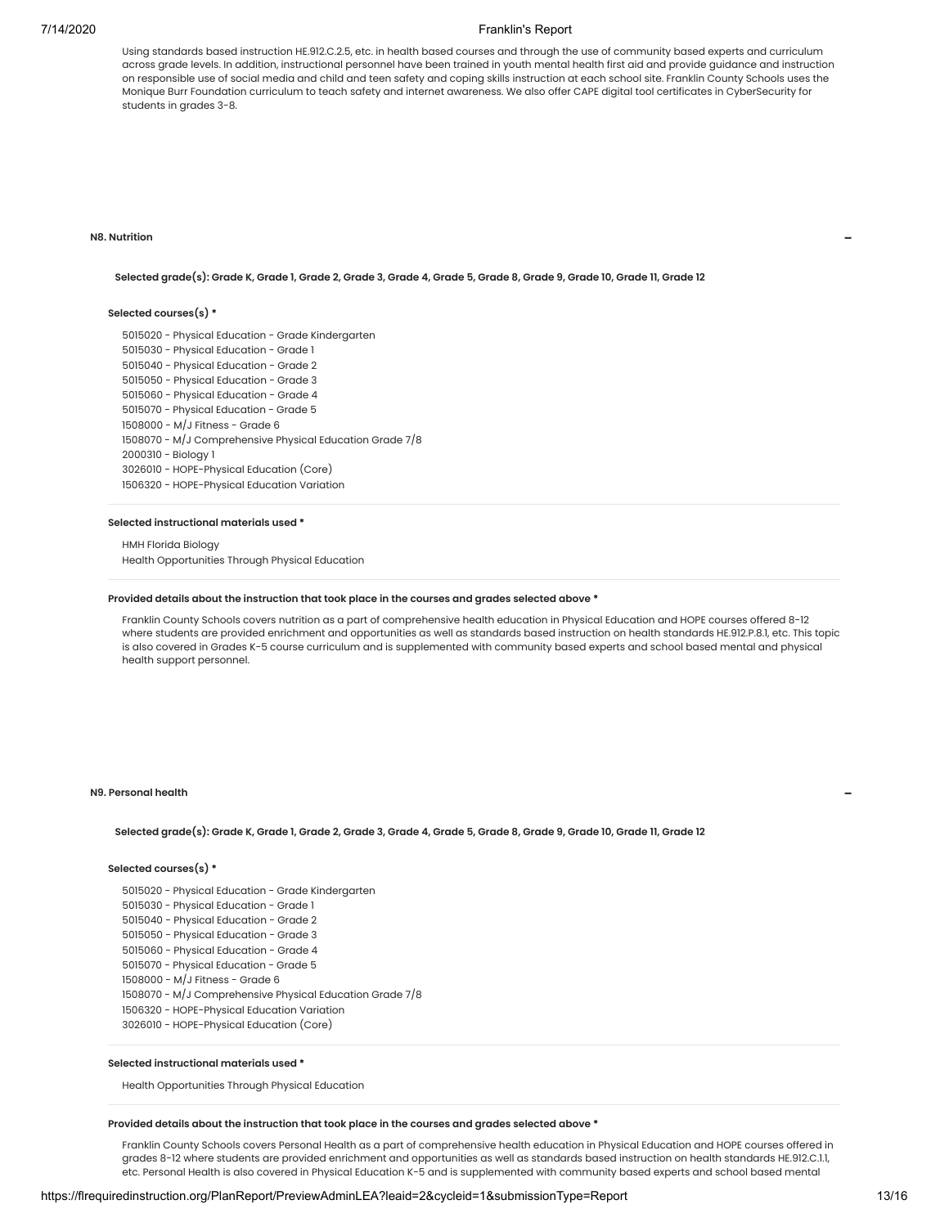Using standards based instruction HE.912.C.2.5, etc. in health based courses and through the use of community based experts and curriculum across grade levels. In addition, instructional personnel have been trained in youth mental health first aid and provide guidance and instruction on responsible use of social media and child and teen safety and coping skills instruction at each school site. Franklin County Schools uses the Monique Burr Foundation curriculum to teach safety and internet awareness. We also offer CAPE digital tool certificates in CyberSecurity for students in grades 3-8.

#### **N8. Nutrition**

**Selected grade(s): Grade K, Grade 1, Grade 2, Grade 3, Grade 4, Grade 5, Grade 8, Grade 9, Grade 10, Grade 11, Grade 12**

# **Selected courses(s) \***

 - Physical Education - Grade Kindergarten - Physical Education - Grade 1 - Physical Education - Grade 2 - Physical Education - Grade 3 - Physical Education - Grade 4 - Physical Education - Grade 5 - M/J Fitness - Grade 6 - M/J Comprehensive Physical Education Grade 7/8 - Biology 1 - HOPE-Physical Education (Core) - HOPE-Physical Education Variation

#### **Selected instructional materials used \***

HMH Florida Biology Health Opportunities Through Physical Education

# **Provided details about the instruction that took place in the courses and grades selected above \***

Franklin County Schools covers nutrition as a part of comprehensive health education in Physical Education and HOPE courses offered 8-12 where students are provided enrichment and opportunities as well as standards based instruction on health standards HE.912.P.8.1, etc. This topic is also covered in Grades K-5 course curriculum and is supplemented with community based experts and school based mental and physical health support personnel.

# **N9. Personal health**

**Selected grade(s): Grade K, Grade 1, Grade 2, Grade 3, Grade 4, Grade 5, Grade 8, Grade 9, Grade 10, Grade 11, Grade 12**

# **Selected courses(s) \***

 - Physical Education - Grade Kindergarten - Physical Education - Grade 1 - Physical Education - Grade 2 - Physical Education - Grade 3 - Physical Education - Grade 4 - Physical Education - Grade 5 - M/J Fitness - Grade 6 - M/J Comprehensive Physical Education Grade 7/8 - HOPE-Physical Education Variation - HOPE-Physical Education (Core)

# **Selected instructional materials used \***

Health Opportunities Through Physical Education

#### **Provided details about the instruction that took place in the courses and grades selected above \***

Franklin County Schools covers Personal Health as a part of comprehensive health education in Physical Education and HOPE courses offered in grades 8-12 where students are provided enrichment and opportunities as well as standards based instruction on health standards HE.912.C.1.1, etc. Personal Health is also covered in Physical Education K-5 and is supplemented with community based experts and school based mental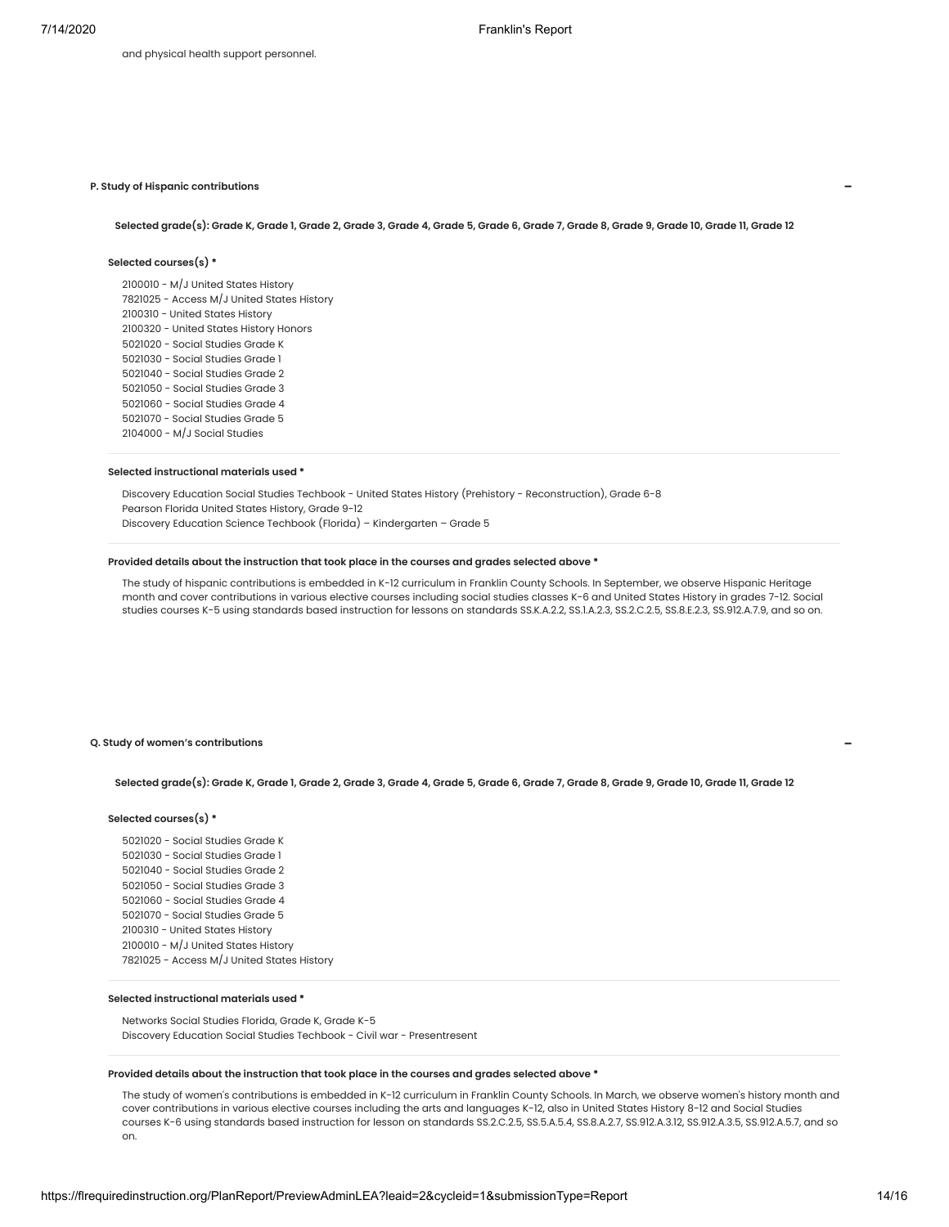# **P. Study of Hispanic contributions**

Selected grade(s): Grade K, Grade 1, Grade 2, Grade 3, Grade 4, Grade 5, Grade 6, Grade 7, Grade 8, Grade 9, Grade 10, Grade 11, Grade 12

# **Selected courses(s) \***

 - M/J United States History - Access M/J United States History - United States History - United States History Honors - Social Studies Grade K - Social Studies Grade 1 - Social Studies Grade 2 - Social Studies Grade 3 - Social Studies Grade 4 - Social Studies Grade 5 - M/J Social Studies

# **Selected instructional materials used \***

Discovery Education Social Studies Techbook - United States History (Prehistory - Reconstruction), Grade 6-8 Pearson Florida United States History, Grade 9-12 Discovery Education Science Techbook (Florida) – Kindergarten – Grade 5

# **Provided details about the instruction that took place in the courses and grades selected above \***

The study of hispanic contributions is embedded in K-12 curriculum in Franklin County Schools. In September, we observe Hispanic Heritage month and cover contributions in various elective courses including social studies classes K-6 and United States History in grades 7-12. Social studies courses K-5 using standards based instruction for lessons on standards SS.K.A.2.2, SS.1.A.2.3, SS.2.C.2.5, SS.8.E.2.3, SS.912.A.7.9, and so on.

#### **Q. Study of women's contributions**

#### Selected grade(s): Grade K, Grade 1, Grade 2, Grade 3, Grade 4, Grade 5, Grade 6, Grade 7, Grade 8, Grade 9, Grade 10, Grade 11, Grade 12

#### **Selected courses(s) \***

 - Social Studies Grade K - Social Studies Grade 1 - Social Studies Grade 2 - Social Studies Grade 3 - Social Studies Grade 4 - Social Studies Grade 5 - United States History - M/J United States History - Access M/J United States History

#### **Selected instructional materials used \***

Networks Social Studies Florida, Grade K, Grade K-5 Discovery Education Social Studies Techbook - Civil war - Presentresent

#### **Provided details about the instruction that took place in the courses and grades selected above \***

The study of women's contributions is embedded in K-12 curriculum in Franklin County Schools. In March, we observe women's history month and cover contributions in various elective courses including the arts and languages K-12, also in United States History 8-12 and Social Studies courses K-6 using standards based instruction for lesson on standards SS.2.C.2.5, SS.5.A.5.4, SS.8.A.2.7, SS.912.A.3.12, SS.912.A.3.5, SS.912.A.5.7, and so on.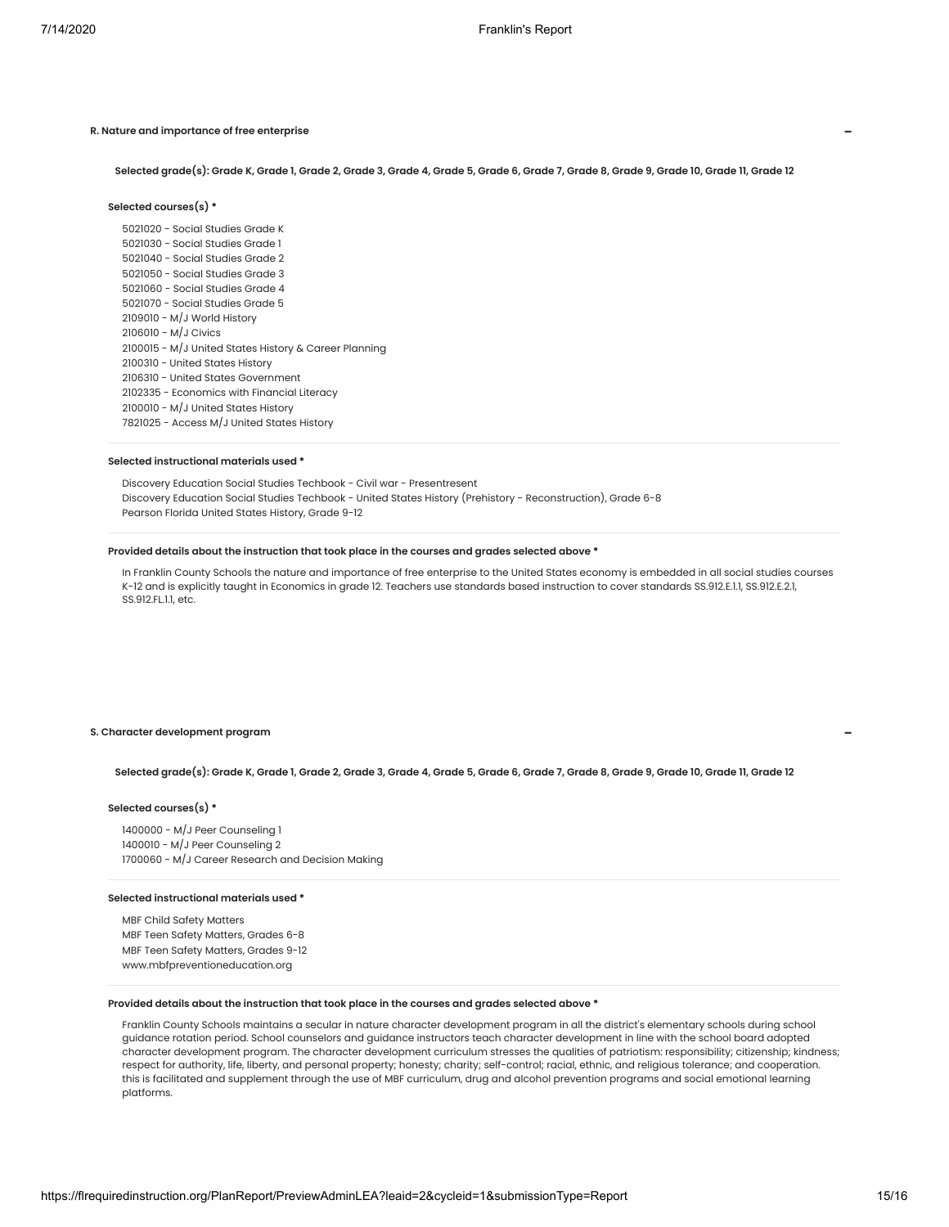# **R. Nature and importance of free enterprise**

Selected grade(s): Grade K, Grade 1, Grade 2, Grade 3, Grade 4, Grade 5, Grade 6, Grade 7, Grade 8, Grade 9, Grade 10, Grade 11, Grade 12

# **Selected courses(s) \***

 - Social Studies Grade K - Social Studies Grade 1 - Social Studies Grade 2 - Social Studies Grade 3 - Social Studies Grade 4 - Social Studies Grade 5 - M/J World History - M/J Civics - M/J United States History & Career Planning - United States History - United States Government - Economics with Financial Literacy - M/J United States History - Access M/J United States History

#### **Selected instructional materials used \***

Discovery Education Social Studies Techbook - Civil war - Presentresent Discovery Education Social Studies Techbook - United States History (Prehistory - Reconstruction), Grade 6-8 Pearson Florida United States History, Grade 9-12

# **Provided details about the instruction that took place in the courses and grades selected above \***

In Franklin County Schools the nature and importance of free enterprise to the United States economy is embedded in all social studies courses K-12 and is explicitly taught in Economics in grade 12. Teachers use standards based instruction to cover standards SS.912.E.1.1, SS.912.E.2.1, SS.912.FL.1.1, etc.

# **S. Character development program**

Selected grade(s): Grade K, Grade 1, Grade 2, Grade 3, Grade 4, Grade 5, Grade 6, Grade 7, Grade 8, Grade 9, Grade 10, Grade 11, Grade 12

#### **Selected courses(s) \***

1400000 - M/J Peer Counseling 1 1400010 - M/J Peer Counseling 2 1700060 - M/J Career Research and Decision Making

# **Selected instructional materials used \***

MBF Child Safety Matters MBF Teen Safety Matters, Grades 6-8 MBF Teen Safety Matters, Grades 9-12 www.mbfpreventioneducation.org

### **Provided details about the instruction that took place in the courses and grades selected above \***

Franklin County Schools maintains a secular in nature character development program in all the district's elementary schools during school guidance rotation period. School counselors and guidance instructors teach character development in line with the school board adopted character development program. The character development curriculum stresses the qualities of patriotism: responsibility; citizenship; kindness; respect for authority, life, liberty, and personal property; honesty; charity; self-control; racial, ethnic, and religious tolerance; and cooperation. this is facilitated and supplement through the use of MBF curriculum, drug and alcohol prevention programs and social emotional learning platforms.